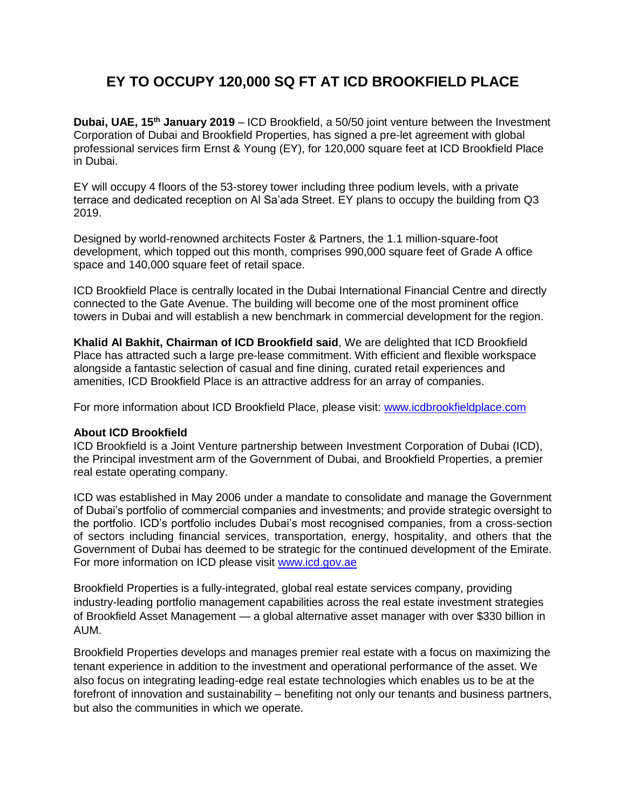## **EY TO OCCUPY 120,000 SQ FT AT ICD BROOKFIELD PLACE**

**Dubai, UAE, 15th January 2019** – ICD Brookfield, a 50/50 joint venture between the Investment Corporation of Dubai and Brookfield Properties, has signed a pre-let agreement with global professional services firm Ernst & Young (EY), for 120,000 square feet at ICD Brookfield Place in Dubai.

EY will occupy 4 floors of the 53-storey tower including three podium levels, with a private terrace and dedicated reception on Al Sa'ada Street. EY plans to occupy the building from Q3 2019.

Designed by world-renowned architects Foster & Partners, the 1.1 million-square-foot development, which topped out this month, comprises 990,000 square feet of Grade A office space and 140,000 square feet of retail space.

ICD Brookfield Place is centrally located in the Dubai International Financial Centre and directly connected to the Gate Avenue. The building will become one of the most prominent office towers in Dubai and will establish a new benchmark in commercial development for the region.

**Khalid Al Bakhit, Chairman of ICD Brookfield said**, We are delighted that ICD Brookfield Place has attracted such a large pre-lease commitment. With efficient and flexible workspace alongside a fantastic selection of casual and fine dining, curated retail experiences and amenities, ICD Brookfield Place is an attractive address for an array of companies.

For more information about ICD Brookfield Place, please visit: [www.icdbrookfieldplace.com](http://www.icdbrookfieldplace.com/)

## **About ICD Brookfield**

ICD Brookfield is a Joint Venture partnership between Investment Corporation of Dubai (ICD), the Principal investment arm of the Government of Dubai, and Brookfield Properties, a premier real estate operating company.

ICD was established in May 2006 under a mandate to consolidate and manage the Government of Dubai's portfolio of commercial companies and investments; and provide strategic oversight to the portfolio. ICD's portfolio includes Dubai's most recognised companies, from a cross-section of sectors including financial services, transportation, energy, hospitality, and others that the Government of Dubai has deemed to be strategic for the continued development of the Emirate. For more information on ICD please visit [www.icd.gov.ae](http://www.icd.gov.ae/)

Brookfield Properties is a fully-integrated, global real estate services company, providing industry-leading portfolio management capabilities across the real estate investment strategies of Brookfield Asset Management — a global alternative asset manager with over \$330 billion in AUM.

Brookfield Properties develops and manages premier real estate with a focus on maximizing the tenant experience in addition to the investment and operational performance of the asset. We also focus on integrating leading-edge real estate technologies which enables us to be at the forefront of innovation and sustainability – benefiting not only our tenants and business partners, but also the communities in which we operate.